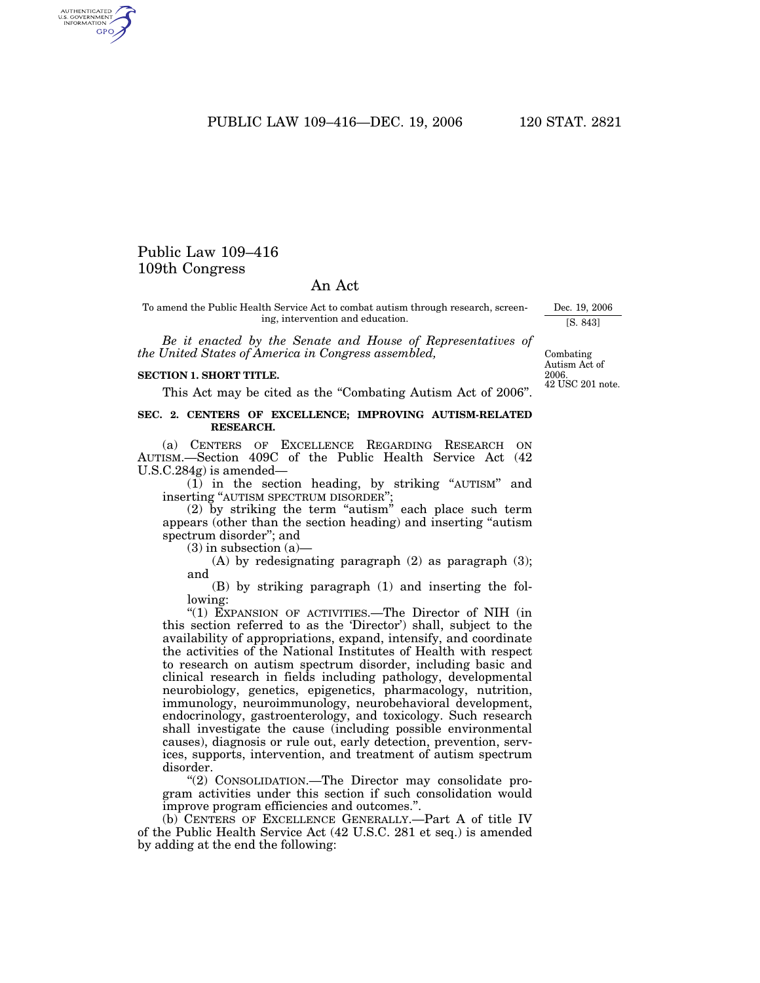PUBLIC LAW 109-416-DEC. 19, 2006 120 STAT. 2821

# Public Law 109–416 109th Congress

# An Act

To amend the Public Health Service Act to combat autism through research, screening, intervention and education.

*Be it enacted by the Senate and House of Representatives of the United States of America in Congress assembled,*

#### **SECTION 1. SHORT TITLE.**

This Act may be cited as the "Combating Autism Act of 2006".

#### **SEC. 2. CENTERS OF EXCELLENCE; IMPROVING AUTISM-RELATED RESEARCH.**

(a) CENTERS OF EXCELLENCE REGARDING RESEARCH ON AUTISM.—Section 409C of the Public Health Service Act (42 U.S.C.284g) is amended—

(1) in the section heading, by striking ''AUTISM'' and inserting ''AUTISM SPECTRUM DISORDER'';

(2) by striking the term "autism" each place such term appears (other than the section heading) and inserting ''autism spectrum disorder''; and

 $(3)$  in subsection  $(a)$ 

(A) by redesignating paragraph  $(2)$  as paragraph  $(3)$ ; and

(B) by striking paragraph (1) and inserting the following:

''(1) EXPANSION OF ACTIVITIES.—The Director of NIH (in this section referred to as the 'Director') shall, subject to the availability of appropriations, expand, intensify, and coordinate the activities of the National Institutes of Health with respect to research on autism spectrum disorder, including basic and clinical research in fields including pathology, developmental neurobiology, genetics, epigenetics, pharmacology, nutrition, immunology, neuroimmunology, neurobehavioral development, endocrinology, gastroenterology, and toxicology. Such research shall investigate the cause (including possible environmental causes), diagnosis or rule out, early detection, prevention, services, supports, intervention, and treatment of autism spectrum disorder.

''(2) CONSOLIDATION.—The Director may consolidate program activities under this section if such consolidation would improve program efficiencies and outcomes.''.

(b) CENTERS OF EXCELLENCE GENERALLY.—Part A of title IV of the Public Health Service Act (42 U.S.C. 281 et seq.) is amended by adding at the end the following:

42 USC 201 note. 2006. Combating Autism Act of

Dec. 19, 2006 [S. 843]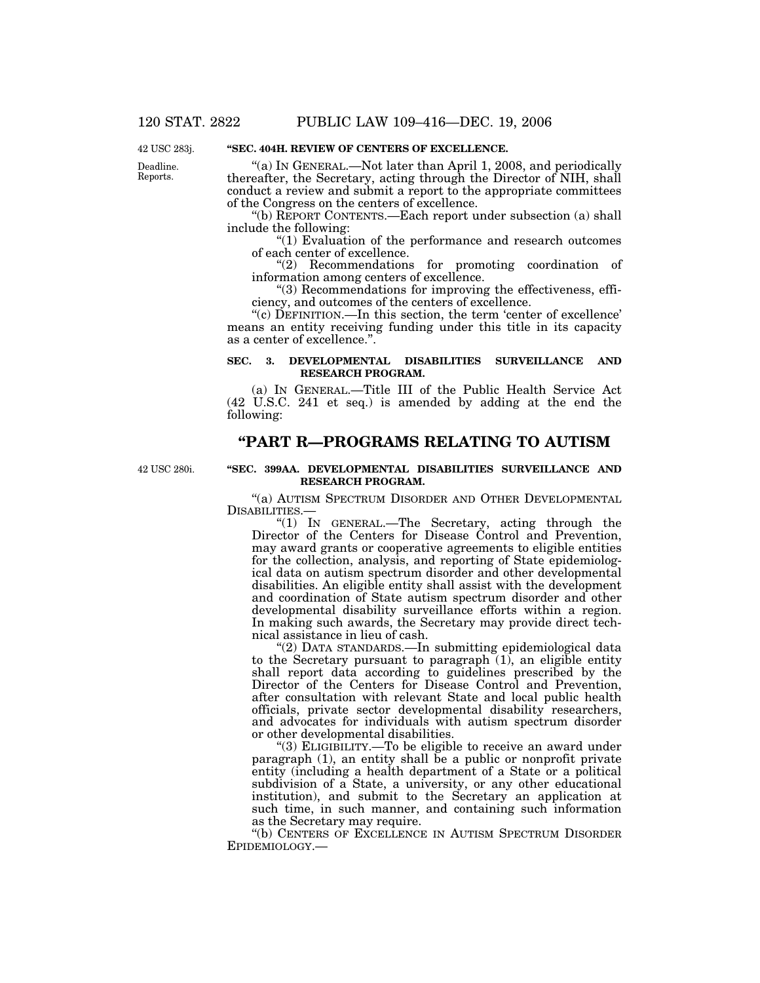Deadline. Reports. 42 USC 283j.

## **''SEC. 404H. REVIEW OF CENTERS OF EXCELLENCE.**

''(a) IN GENERAL.—Not later than April 1, 2008, and periodically thereafter, the Secretary, acting through the Director of NIH, shall conduct a review and submit a report to the appropriate committees of the Congress on the centers of excellence.

''(b) REPORT CONTENTS.—Each report under subsection (a) shall include the following:

''(1) Evaluation of the performance and research outcomes of each center of excellence.

''(2) Recommendations for promoting coordination of information among centers of excellence.

''(3) Recommendations for improving the effectiveness, efficiency, and outcomes of the centers of excellence.

''(c) DEFINITION.—In this section, the term 'center of excellence' means an entity receiving funding under this title in its capacity as a center of excellence.''.

### **SEC. 3. DEVELOPMENTAL DISABILITIES SURVEILLANCE AND RESEARCH PROGRAM.**

(a) IN GENERAL.—Title III of the Public Health Service Act (42 U.S.C. 241 et seq.) is amended by adding at the end the following:

# **''PART R—PROGRAMS RELATING TO AUTISM**

42 USC 280i.

### **''SEC. 399AA. DEVELOPMENTAL DISABILITIES SURVEILLANCE AND RESEARCH PROGRAM.**

"(a) AUTISM SPECTRUM DISORDER AND OTHER DEVELOPMENTAL DISABILITIES.—

"(1) IN GENERAL.—The Secretary, acting through the Director of the Centers for Disease Control and Prevention, may award grants or cooperative agreements to eligible entities for the collection, analysis, and reporting of State epidemiological data on autism spectrum disorder and other developmental disabilities. An eligible entity shall assist with the development and coordination of State autism spectrum disorder and other developmental disability surveillance efforts within a region. In making such awards, the Secretary may provide direct technical assistance in lieu of cash.

''(2) DATA STANDARDS.—In submitting epidemiological data to the Secretary pursuant to paragraph (1), an eligible entity shall report data according to guidelines prescribed by the Director of the Centers for Disease Control and Prevention, after consultation with relevant State and local public health officials, private sector developmental disability researchers, and advocates for individuals with autism spectrum disorder or other developmental disabilities.

''(3) ELIGIBILITY.—To be eligible to receive an award under paragraph (1), an entity shall be a public or nonprofit private entity (including a health department of a State or a political subdivision of a State, a university, or any other educational institution), and submit to the Secretary an application at such time, in such manner, and containing such information as the Secretary may require.

''(b) CENTERS OF EXCELLENCE IN AUTISM SPECTRUM DISORDER EPIDEMIOLOGY.—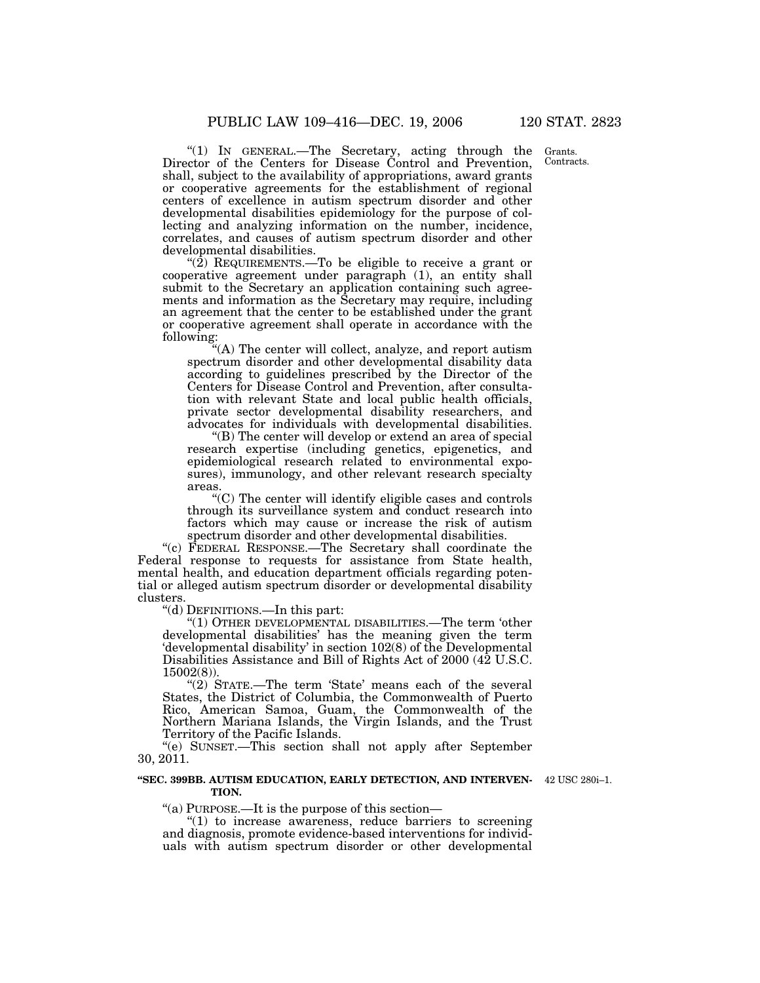"(1) IN GENERAL.—The Secretary, acting through the Director of the Centers for Disease Control and Prevention, shall, subject to the availability of appropriations, award grants or cooperative agreements for the establishment of regional centers of excellence in autism spectrum disorder and other developmental disabilities epidemiology for the purpose of collecting and analyzing information on the number, incidence, correlates, and causes of autism spectrum disorder and other developmental disabilities.

" $(2)$  REQUIREMENTS.—To be eligible to receive a grant or cooperative agreement under paragraph (1), an entity shall submit to the Secretary an application containing such agreements and information as the Secretary may require, including an agreement that the center to be established under the grant or cooperative agreement shall operate in accordance with the following:

"(A) The center will collect, analyze, and report autism spectrum disorder and other developmental disability data according to guidelines prescribed by the Director of the Centers for Disease Control and Prevention, after consultation with relevant State and local public health officials, private sector developmental disability researchers, and advocates for individuals with developmental disabilities.

''(B) The center will develop or extend an area of special research expertise (including genetics, epigenetics, and epidemiological research related to environmental exposures), immunology, and other relevant research specialty areas.

''(C) The center will identify eligible cases and controls through its surveillance system and conduct research into factors which may cause or increase the risk of autism spectrum disorder and other developmental disabilities.

''(c) FEDERAL RESPONSE.—The Secretary shall coordinate the Federal response to requests for assistance from State health, mental health, and education department officials regarding potential or alleged autism spectrum disorder or developmental disability clusters.

''(d) DEFINITIONS.—In this part:

''(1) OTHER DEVELOPMENTAL DISABILITIES.—The term 'other developmental disabilities' has the meaning given the term 'developmental disability' in section 102(8) of the Developmental Disabilities Assistance and Bill of Rights Act of 2000 (42 U.S.C. 15002(8)).

"(2) STATE.—The term 'State' means each of the several States, the District of Columbia, the Commonwealth of Puerto Rico, American Samoa, Guam, the Commonwealth of the Northern Mariana Islands, the Virgin Islands, and the Trust Territory of the Pacific Islands.

''(e) SUNSET.—This section shall not apply after September 30, 2011.

#### **''SEC. 399BB. AUTISM EDUCATION, EARLY DETECTION, AND INTERVEN-**42 USC 280i–1. **TION.**

''(a) PURPOSE.—It is the purpose of this section—

" $(1)$  to increase awareness, reduce barriers to screening and diagnosis, promote evidence-based interventions for individuals with autism spectrum disorder or other developmental

Grants. Contracts.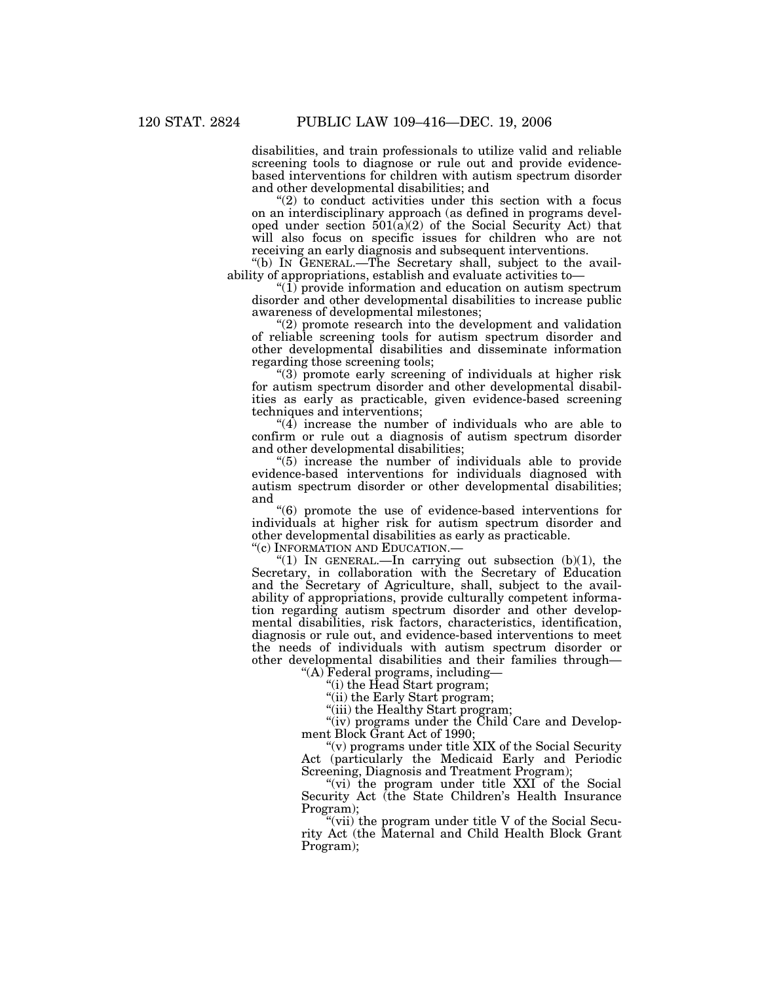disabilities, and train professionals to utilize valid and reliable screening tools to diagnose or rule out and provide evidencebased interventions for children with autism spectrum disorder and other developmental disabilities; and

" $(2)$  to conduct activities under this section with a focus on an interdisciplinary approach (as defined in programs developed under section  $501(a)(2)$  of the Social Security Act) that will also focus on specific issues for children who are not receiving an early diagnosis and subsequent interventions.

''(b) IN GENERAL.—The Secretary shall, subject to the availability of appropriations, establish and evaluate activities to—

" $(1)$  provide information and education on autism spectrum disorder and other developmental disabilities to increase public awareness of developmental milestones;

''(2) promote research into the development and validation of reliable screening tools for autism spectrum disorder and other developmental disabilities and disseminate information regarding those screening tools;

"(3) promote early screening of individuals at higher risk for autism spectrum disorder and other developmental disabilities as early as practicable, given evidence-based screening techniques and interventions;

" $(4)$  increase the number of individuals who are able to confirm or rule out a diagnosis of autism spectrum disorder and other developmental disabilities;

''(5) increase the number of individuals able to provide evidence-based interventions for individuals diagnosed with autism spectrum disorder or other developmental disabilities; and

''(6) promote the use of evidence-based interventions for individuals at higher risk for autism spectrum disorder and other developmental disabilities as early as practicable.

''(c) INFORMATION AND EDUCATION.—

"(1) IN GENERAL.—In carrying out subsection  $(b)(1)$ , the Secretary, in collaboration with the Secretary of Education and the Secretary of Agriculture, shall, subject to the availability of appropriations, provide culturally competent information regarding autism spectrum disorder and other developmental disabilities, risk factors, characteristics, identification, diagnosis or rule out, and evidence-based interventions to meet the needs of individuals with autism spectrum disorder or other developmental disabilities and their families through—

''(A) Federal programs, including—

''(i) the Head Start program;

"(ii) the Early Start program;

''(iii) the Healthy Start program;

"(iv) programs under the Child Care and Development Block Grant Act of 1990;

''(v) programs under title XIX of the Social Security Act (particularly the Medicaid Early and Periodic Screening, Diagnosis and Treatment Program);

"(vi) the program under title XXI of the Social Security Act (the State Children's Health Insurance Program);

"(vii) the program under title V of the Social Security Act (the Maternal and Child Health Block Grant Program);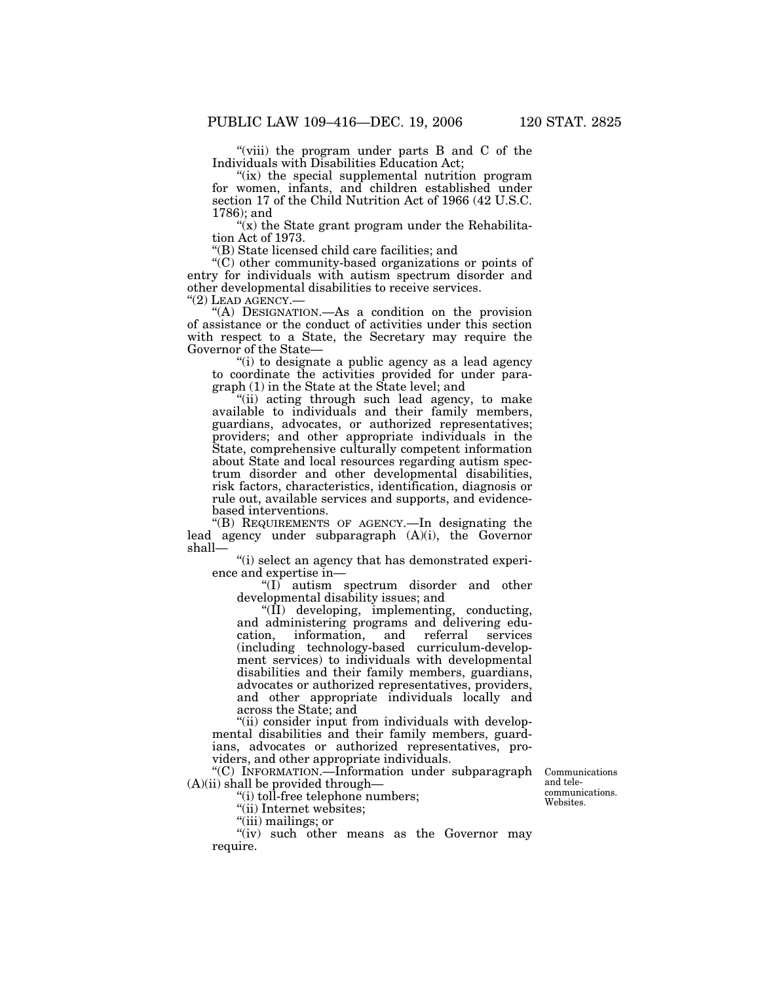"(viii) the program under parts B and C of the Individuals with Disabilities Education Act;

"(ix) the special supplemental nutrition program for women, infants, and children established under section 17 of the Child Nutrition Act of 1966 (42 U.S.C. 1786); and

" $(x)$  the State grant program under the Rehabilitation Act of 1973.

''(B) State licensed child care facilities; and

''(C) other community-based organizations or points of entry for individuals with autism spectrum disorder and other developmental disabilities to receive services.

"(A) DESIGNATION.—As a condition on the provision of assistance or the conduct of activities under this section with respect to a State, the Secretary may require the Governor of the State—

''(i) to designate a public agency as a lead agency to coordinate the activities provided for under paragraph (1) in the State at the State level; and

''(ii) acting through such lead agency, to make available to individuals and their family members, guardians, advocates, or authorized representatives; providers; and other appropriate individuals in the State, comprehensive culturally competent information about State and local resources regarding autism spectrum disorder and other developmental disabilities, risk factors, characteristics, identification, diagnosis or rule out, available services and supports, and evidencebased interventions.

''(B) REQUIREMENTS OF AGENCY.—In designating the lead agency under subparagraph (A)(i), the Governor shall—

''(i) select an agency that has demonstrated experience and expertise in—

''(I) autism spectrum disorder and other developmental disability issues; and

''(II) developing, implementing, conducting, and administering programs and delivering education, information, and referral services (including technology-based curriculum-development services) to individuals with developmental disabilities and their family members, guardians, advocates or authorized representatives, providers, and other appropriate individuals locally and across the State; and

"(ii) consider input from individuals with developmental disabilities and their family members, guardians, advocates or authorized representatives, providers, and other appropriate individuals.

''(C) INFORMATION.—Information under subparagraph (A)(ii) shall be provided through—

''(i) toll-free telephone numbers;

''(ii) Internet websites;

''(iii) mailings; or

"(iv) such other means as the Governor may require.

Communications and telecommunications. Websites.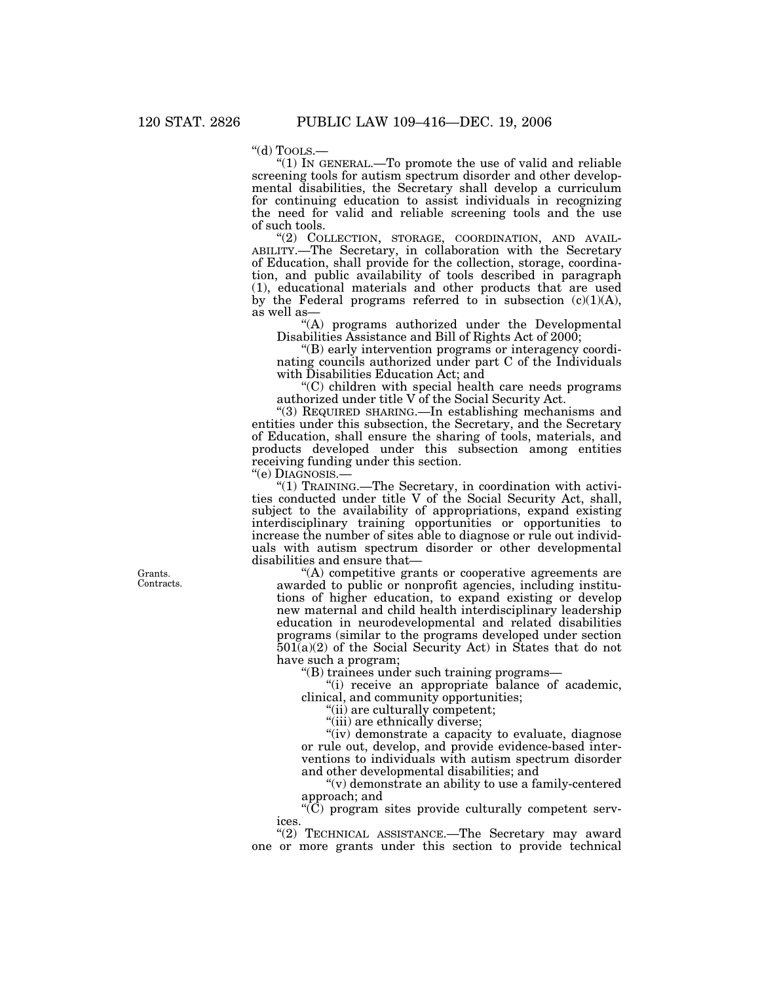''(d) TOOLS.— ''(1) IN GENERAL.—To promote the use of valid and reliable screening tools for autism spectrum disorder and other developmental disabilities, the Secretary shall develop a curriculum for continuing education to assist individuals in recognizing the need for valid and reliable screening tools and the use of such tools.<br>"(2) COLLECTION, STORAGE, COORDINATION, AND AVAIL-

ABILITY.—The Secretary, in collaboration with the Secretary of Education, shall provide for the collection, storage, coordination, and public availability of tools described in paragraph (1), educational materials and other products that are used by the Federal programs referred to in subsection  $(c)(1)(A)$ , as well as—

''(A) programs authorized under the Developmental Disabilities Assistance and Bill of Rights Act of 2000;

''(B) early intervention programs or interagency coordinating councils authorized under part C of the Individuals with Disabilities Education Act; and

''(C) children with special health care needs programs authorized under title V of the Social Security Act.

''(3) REQUIRED SHARING.—In establishing mechanisms and entities under this subsection, the Secretary, and the Secretary of Education, shall ensure the sharing of tools, materials, and products developed under this subsection among entities receiving funding under this section.

''(e) DIAGNOSIS.—

''(1) TRAINING.—The Secretary, in coordination with activities conducted under title V of the Social Security Act, shall, subject to the availability of appropriations, expand existing interdisciplinary training opportunities or opportunities to increase the number of sites able to diagnose or rule out individuals with autism spectrum disorder or other developmental disabilities and ensure that—

''(A) competitive grants or cooperative agreements are awarded to public or nonprofit agencies, including institutions of higher education, to expand existing or develop new maternal and child health interdisciplinary leadership education in neurodevelopmental and related disabilities programs (similar to the programs developed under section  $501(a)(2)$  of the Social Security Act) in States that do not have such a program;

''(B) trainees under such training programs—

''(i) receive an appropriate balance of academic, clinical, and community opportunities;

''(ii) are culturally competent;

''(iii) are ethnically diverse;

"(iv) demonstrate a capacity to evaluate, diagnose or rule out, develop, and provide evidence-based interventions to individuals with autism spectrum disorder and other developmental disabilities; and

''(v) demonstrate an ability to use a family-centered approach; and

''(C) program sites provide culturally competent services.

"(2) TECHNICAL ASSISTANCE.—The Secretary may award one or more grants under this section to provide technical

Grants. Contracts.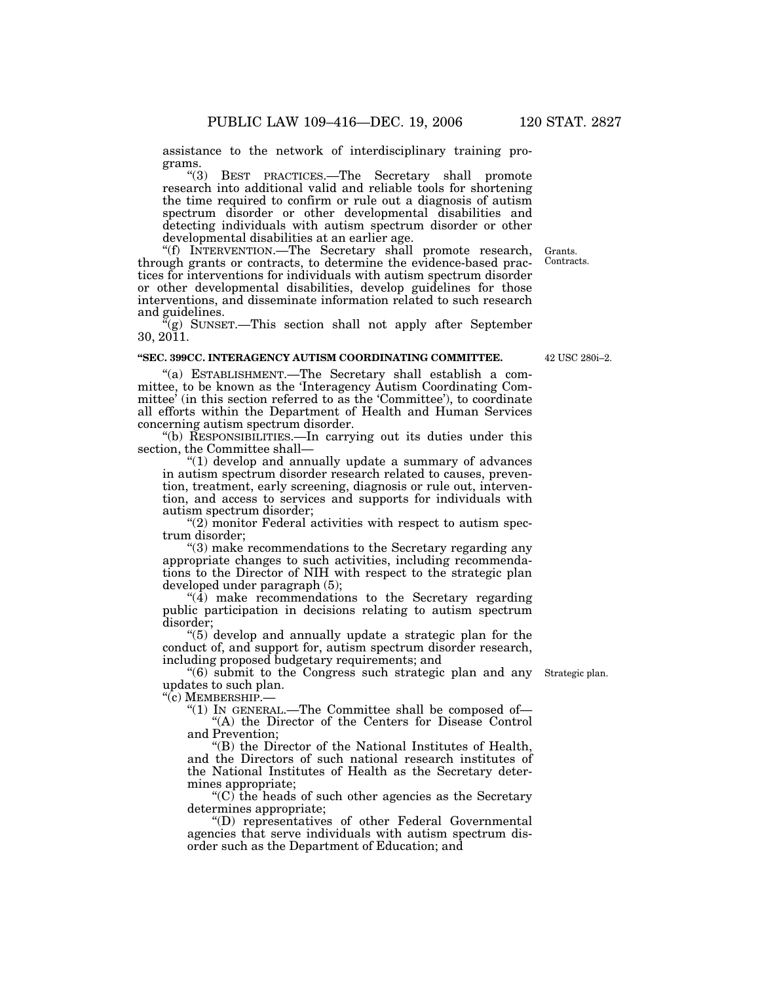assistance to the network of interdisciplinary training programs.

''(3) BEST PRACTICES.—The Secretary shall promote research into additional valid and reliable tools for shortening the time required to confirm or rule out a diagnosis of autism spectrum disorder or other developmental disabilities and detecting individuals with autism spectrum disorder or other developmental disabilities at an earlier age.

''(f) INTERVENTION.—The Secretary shall promote research, through grants or contracts, to determine the evidence-based practices for interventions for individuals with autism spectrum disorder or other developmental disabilities, develop guidelines for those interventions, and disseminate information related to such research and guidelines.

 $\mathbb{F}(g)$  SUNSET.—This section shall not apply after September 30, 2011.

#### **''SEC. 399CC. INTERAGENCY AUTISM COORDINATING COMMITTEE.**

''(a) ESTABLISHMENT.—The Secretary shall establish a committee, to be known as the 'Interagency Autism Coordinating Committee' (in this section referred to as the 'Committee'), to coordinate all efforts within the Department of Health and Human Services concerning autism spectrum disorder.

''(b) RESPONSIBILITIES.—In carrying out its duties under this section, the Committee shall—

''(1) develop and annually update a summary of advances in autism spectrum disorder research related to causes, prevention, treatment, early screening, diagnosis or rule out, intervention, and access to services and supports for individuals with autism spectrum disorder;

" $(2)$  monitor Federal activities with respect to autism spectrum disorder;

''(3) make recommendations to the Secretary regarding any appropriate changes to such activities, including recommendations to the Director of NIH with respect to the strategic plan developed under paragraph (5);

 $\mathcal{A}$ ) make recommendations to the Secretary regarding public participation in decisions relating to autism spectrum disorder;

''(5) develop and annually update a strategic plan for the conduct of, and support for, autism spectrum disorder research, including proposed budgetary requirements; and

''(6) submit to the Congress such strategic plan and any Strategic plan. updates to such plan.

"(c) MEMBERSHIP.-

"(1) IN GENERAL.—The Committee shall be composed of— ''(A) the Director of the Centers for Disease Control and Prevention;

''(B) the Director of the National Institutes of Health, and the Directors of such national research institutes of the National Institutes of Health as the Secretary determines appropriate;

 $(C)$  the heads of such other agencies as the Secretary determines appropriate;

''(D) representatives of other Federal Governmental agencies that serve individuals with autism spectrum disorder such as the Department of Education; and

42 USC 280i–2.

Grants. Contracts.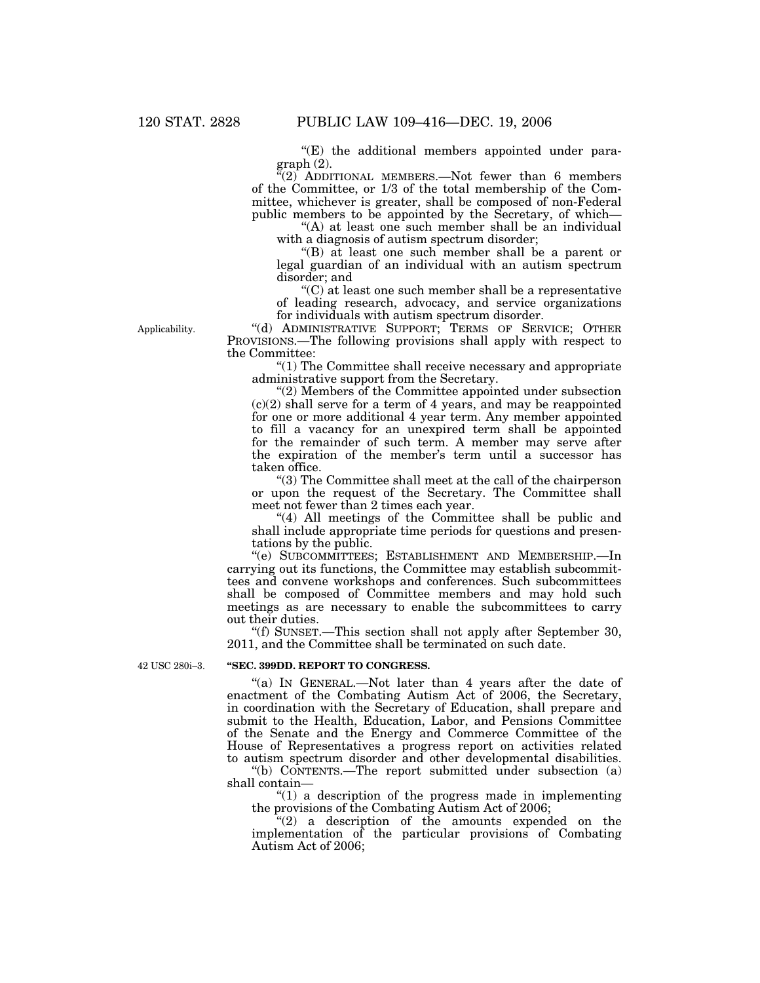$E(E)$  the additional members appointed under paragraph (2).

 $\sqrt{2}$  ADDITIONAL MEMBERS.—Not fewer than 6 members of the Committee, or 1/3 of the total membership of the Committee, whichever is greater, shall be composed of non-Federal public members to be appointed by the Secretary, of which—

"(A) at least one such member shall be an individual with a diagnosis of autism spectrum disorder;

''(B) at least one such member shall be a parent or legal guardian of an individual with an autism spectrum disorder; and

''(C) at least one such member shall be a representative of leading research, advocacy, and service organizations for individuals with autism spectrum disorder.

Applicability.

''(d) ADMINISTRATIVE SUPPORT; TERMS OF SERVICE; OTHER PROVISIONS.—The following provisions shall apply with respect to the Committee:

''(1) The Committee shall receive necessary and appropriate administrative support from the Secretary.

''(2) Members of the Committee appointed under subsection  $(c)(2)$  shall serve for a term of 4 years, and may be reappointed for one or more additional 4 year term. Any member appointed to fill a vacancy for an unexpired term shall be appointed for the remainder of such term. A member may serve after the expiration of the member's term until a successor has taken office.

''(3) The Committee shall meet at the call of the chairperson or upon the request of the Secretary. The Committee shall meet not fewer than 2 times each year.

"(4) All meetings of the Committee shall be public and shall include appropriate time periods for questions and presentations by the public.

''(e) SUBCOMMITTEES; ESTABLISHMENT AND MEMBERSHIP.—In carrying out its functions, the Committee may establish subcommittees and convene workshops and conferences. Such subcommittees shall be composed of Committee members and may hold such meetings as are necessary to enable the subcommittees to carry out their duties.

''(f) SUNSET.—This section shall not apply after September 30, 2011, and the Committee shall be terminated on such date.

42 USC 280i–3.

### **''SEC. 399DD. REPORT TO CONGRESS.**

"(a) IN GENERAL.—Not later than 4 years after the date of enactment of the Combating Autism Act of 2006, the Secretary, in coordination with the Secretary of Education, shall prepare and submit to the Health, Education, Labor, and Pensions Committee of the Senate and the Energy and Commerce Committee of the House of Representatives a progress report on activities related to autism spectrum disorder and other developmental disabilities.

''(b) CONTENTS.—The report submitted under subsection (a) shall contain—

 $''(1)$  a description of the progress made in implementing the provisions of the Combating Autism Act of 2006;

 $(2)$  a description of the amounts expended on the implementation of the particular provisions of Combating Autism Act of 2006;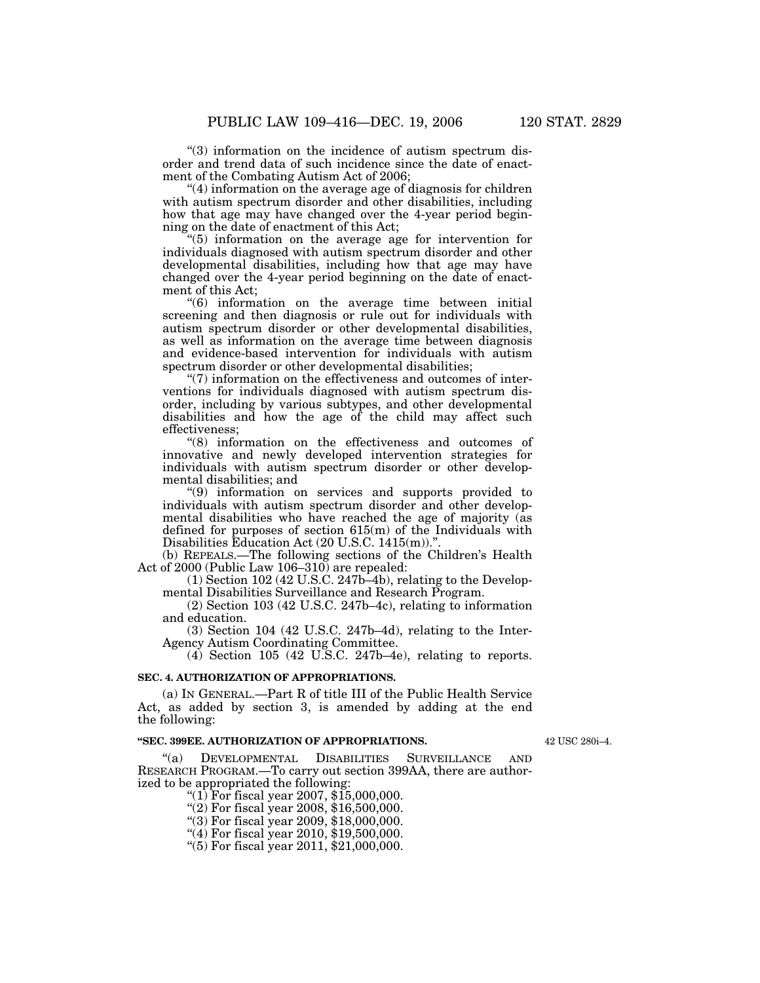''(3) information on the incidence of autism spectrum disorder and trend data of such incidence since the date of enactment of the Combating Autism Act of 2006;

 $(4)$  information on the average age of diagnosis for children with autism spectrum disorder and other disabilities, including how that age may have changed over the 4-year period beginning on the date of enactment of this Act;

''(5) information on the average age for intervention for individuals diagnosed with autism spectrum disorder and other developmental disabilities, including how that age may have changed over the 4-year period beginning on the date of enactment of this Act;

''(6) information on the average time between initial screening and then diagnosis or rule out for individuals with autism spectrum disorder or other developmental disabilities, as well as information on the average time between diagnosis and evidence-based intervention for individuals with autism spectrum disorder or other developmental disabilities;

"(7) information on the effectiveness and outcomes of interventions for individuals diagnosed with autism spectrum disorder, including by various subtypes, and other developmental disabilities and how the age of the child may affect such effectiveness;

''(8) information on the effectiveness and outcomes of innovative and newly developed intervention strategies for individuals with autism spectrum disorder or other developmental disabilities; and

''(9) information on services and supports provided to individuals with autism spectrum disorder and other developmental disabilities who have reached the age of majority (as defined for purposes of section 615(m) of the Individuals with Disabilities Education Act (20 U.S.C. 1415(m)).''.

(b) REPEALS.—The following sections of the Children's Health Act of 2000 (Public Law 106–310) are repealed:

(1) Section 102 (42 U.S.C. 247b–4b), relating to the Developmental Disabilities Surveillance and Research Program.

(2) Section 103 (42 U.S.C. 247b–4c), relating to information and education.

(3) Section 104 (42 U.S.C. 247b–4d), relating to the Inter-Agency Autism Coordinating Committee.

(4) Section 105 (42 U.S.C. 247b–4e), relating to reports.

#### **SEC. 4. AUTHORIZATION OF APPROPRIATIONS.**

(a) IN GENERAL.—Part R of title III of the Public Health Service Act, as added by section 3, is amended by adding at the end the following:

#### **''SEC. 399EE. AUTHORIZATION OF APPROPRIATIONS.**

42 USC 280i–4.

''(a) DEVELOPMENTAL DISABILITIES SURVEILLANCE AND RESEARCH PROGRAM.—To carry out section 399AA, there are authorized to be appropriated the following:

"(1) For fiscal year 2007,  $$15,000,000$ .

''(2) For fiscal year 2008, \$16,500,000.

''(3) For fiscal year 2009, \$18,000,000.

''(4) For fiscal year 2010, \$19,500,000.

''(5) For fiscal year 2011, \$21,000,000.